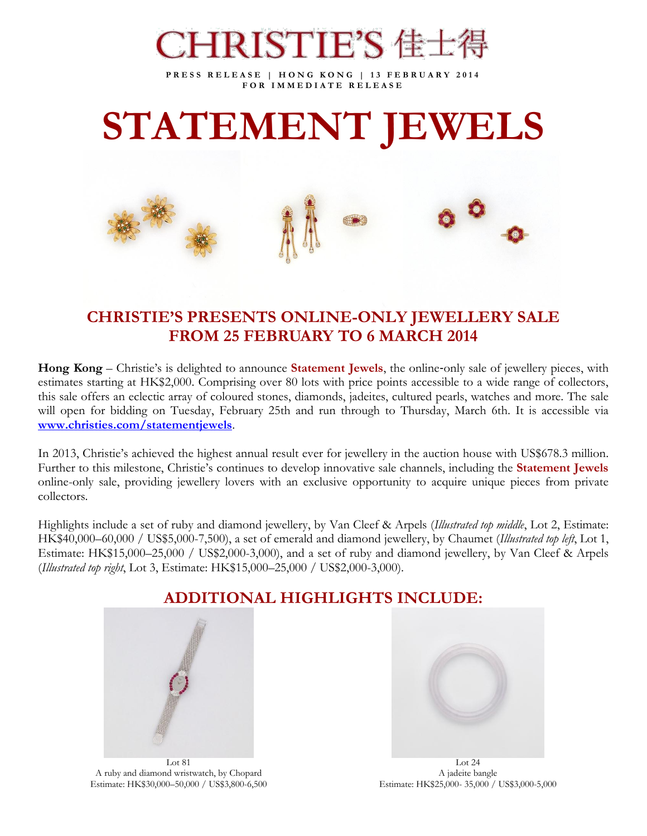# CHRISTIE'S 佳士得

**P R E S S R E L E A S E | H O N G K O N G | 1 3 F E B R U A R Y 201 4 F O R I M M E D I A T E R E L E A S E**

# **STATEMENT JEWELS**

# **CHRISTIE'S PRESENTS ONLINE-ONLY JEWELLERY SALE FROM 25 FEBRUARY TO 6 MARCH 2014**

**Hong Kong** – Christie's is delighted to announce **Statement Jewels**, the online‐only sale of jewellery pieces, with estimates starting at HK\$2,000. Comprising over 80 lots with price points accessible to a wide range of collectors, this sale offers an eclectic array of coloured stones, diamonds, jadeites, cultured pearls, watches and more. The sale will open for bidding on Tuesday, February 25th and run through to Thursday, March 6th. It is accessible via **[www.christies.com/statementjewels](http://www.christies.com/statementjewels)**.

In 2013, Christie's achieved the highest annual result ever for jewellery in the auction house with US\$678.3 million. Further to this milestone, Christie's continues to develop innovative sale channels, including the **Statement Jewels** online-only sale, providing jewellery lovers with an exclusive opportunity to acquire unique pieces from private collectors.

Highlights include a set of ruby and diamond jewellery, by Van Cleef & Arpels (*Illustrated top middle*, Lot 2, Estimate: HK\$40,000–60,000 / US\$5,000-7,500), a set of emerald and diamond jewellery, by Chaumet (*Illustrated top left*, Lot 1, Estimate: HK\$15,000–25,000 / US\$2,000-3,000), and a set of ruby and diamond jewellery, by Van Cleef & Arpels (*Illustrated top right*, Lot 3, Estimate: HK\$15,000–25,000 / US\$2,000-3,000).



# **ADDITIONAL HIGHLIGHTS INCLUDE:**

Lot 24 A jadeite bangle Estimate: HK\$25,000- 35,000 / US\$3,000-5,000

Lot 81 A ruby and diamond wristwatch, by Chopard Estimate: HK\$30,000–50,000 / US\$3,800-6,500